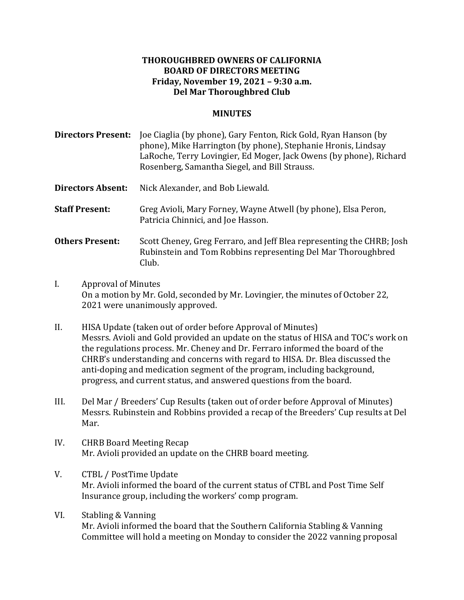## **THOROUGHBRED OWNERS OF CALIFORNIA BOARD OF DIRECTORS MEETING Friday, November 19, 2021 – 9:30 a.m.** Del Mar Thoroughbred Club

## **MINUTES**

**Directors Present:** Joe Ciaglia (by phone), Gary Fenton, Rick Gold, Ryan Hanson (by phone), Mike Harrington (by phone), Stephanie Hronis, Lindsay LaRoche, Terry Lovingier, Ed Moger, Jack Owens (by phone), Richard Rosenberg, Samantha Siegel, and Bill Strauss.

**Directors Absent:** Nick Alexander, and Bob Liewald.

**Staff Present:** Greg Avioli, Mary Forney, Wayne Atwell (by phone), Elsa Peron, Patricia Chinnici, and Joe Hasson.

**Others Present:** Scott Cheney, Greg Ferraro, and Jeff Blea representing the CHRB; Josh Rubinstein and Tom Robbins representing Del Mar Thoroughbred Club.

- I. Approval of Minutes On a motion by Mr. Gold, seconded by Mr. Lovingier, the minutes of October 22, 2021 were unanimously approved.
- II. HISA Update (taken out of order before Approval of Minutes) Messrs. Avioli and Gold provided an update on the status of HISA and TOC's work on the regulations process. Mr. Cheney and Dr. Ferraro informed the board of the CHRB's understanding and concerns with regard to HISA. Dr. Blea discussed the anti-doping and medication segment of the program, including background, progress, and current status, and answered questions from the board.
- III. Del Mar / Breeders' Cup Results (taken out of order before Approval of Minutes) Messrs. Rubinstein and Robbins provided a recap of the Breeders' Cup results at Del Mar.
- IV. CHRB Board Meeting Recap Mr. Avioli provided an update on the CHRB board meeting.
- V. CTBL / PostTime Update Mr. Avioli informed the board of the current status of CTBL and Post Time Self Insurance group, including the workers' comp program.
- VI. Stabling & Vanning Mr. Avioli informed the board that the Southern California Stabling & Vanning Committee will hold a meeting on Monday to consider the 2022 vanning proposal